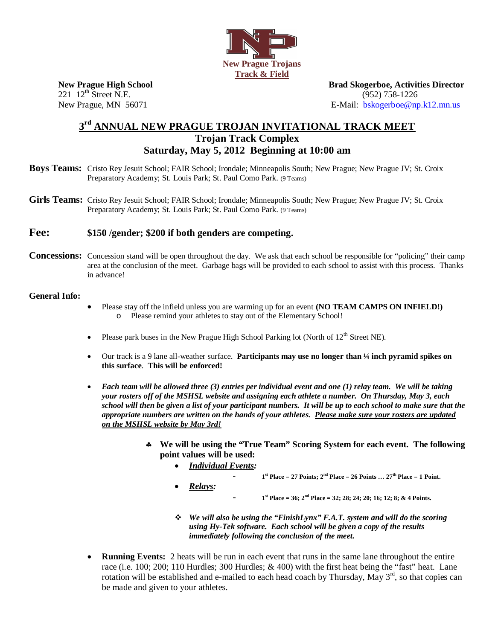

221 12<sup>th</sup> Street N.E. (952) 758-1226

**New Prague High School Brad Skogerboe, Activities Director**  New Prague, MN 56071 **E-Mail:** bskogerboe@np.k12.mn.us

## **3rd ANNUAL NEW PRAGUE TROJAN INVITATIONAL TRACK MEET Trojan Track Complex Saturday, May 5, 2012 Beginning at 10:00 am**

- **Boys Teams:** Cristo Rey Jesuit School; FAIR School; Irondale; Minneapolis South; New Prague; New Prague JV; St. Croix Preparatory Academy; St. Louis Park; St. Paul Como Park. (9 Teams)
- Girls Teams: Cristo Rey Jesuit School; FAIR School; Irondale; Minneapolis South; New Prague; New Prague JV; St. Croix Preparatory Academy; St. Louis Park; St. Paul Como Park. (9 Teams)

## **Fee: \$150 /gender; \$200 if both genders are competing.**

**Concessions:** Concession stand will be open throughout the day. We ask that each school be responsible for "policing" their camp area at the conclusion of the meet. Garbage bags will be provided to each school to assist with this process. Thanks in advance!

## **General Info:**

- � Please stay off the infield unless you are warming up for an event **(NO TEAM CAMPS ON INFIELD!)** o Please remind your athletes to stay out of the Elementary School!
- Please park buses in the New Prague High School Parking lot (North of  $12<sup>th</sup>$  Street NE).
- � Our track is a 9 lane all-weather surface. **Participants may use no longer than ¼ inch pyramid spikes on this surface**. **This will be enforced!**
- � *Each team will be allowed three (3) entries per individual event and one (1) relay team. We will be taking your rosters off of the MSHSL website and assigning each athlete a number. On Thursday, May 3, each school will then be given a list of your participant numbers. It will be up to each school to make sure that the appropriate numbers are written on the hands of your athletes. Please make sure your rosters are updated on the MSHSL website by May 3rd!* 
	- � **We will be using the "True Team" Scoring System for each event. The following point values will be used:**
		- � *Individual Events:*   $1<sup>st</sup>$  Place = 27 Points;  $2<sup>nd</sup>$  Place = 26 Points ...  $27<sup>th</sup>$  Place = 1 Point. � *Relays:* 
			- **<sup>1</sup>st Place = 36; 2nd Place = 32; 28; 24; 20; 16; 12; 8; & 4 Points.**
		- � *We will also be using the "FinishLynx" F.A.T. system and will do the scoring using Hy-Tek software. Each school will be given a copy of the results immediately following the conclusion of the meet.*
- � **Running Events:** 2 heats will be run in each event that runs in the same lane throughout the entire race (i.e. 100; 200; 110 Hurdles; 300 Hurdles; & 400) with the first heat being the "fast" heat. Lane rotation will be established and e-mailed to each head coach by Thursday, May  $3^{rd}$ , so that copies can be made and given to your athletes.